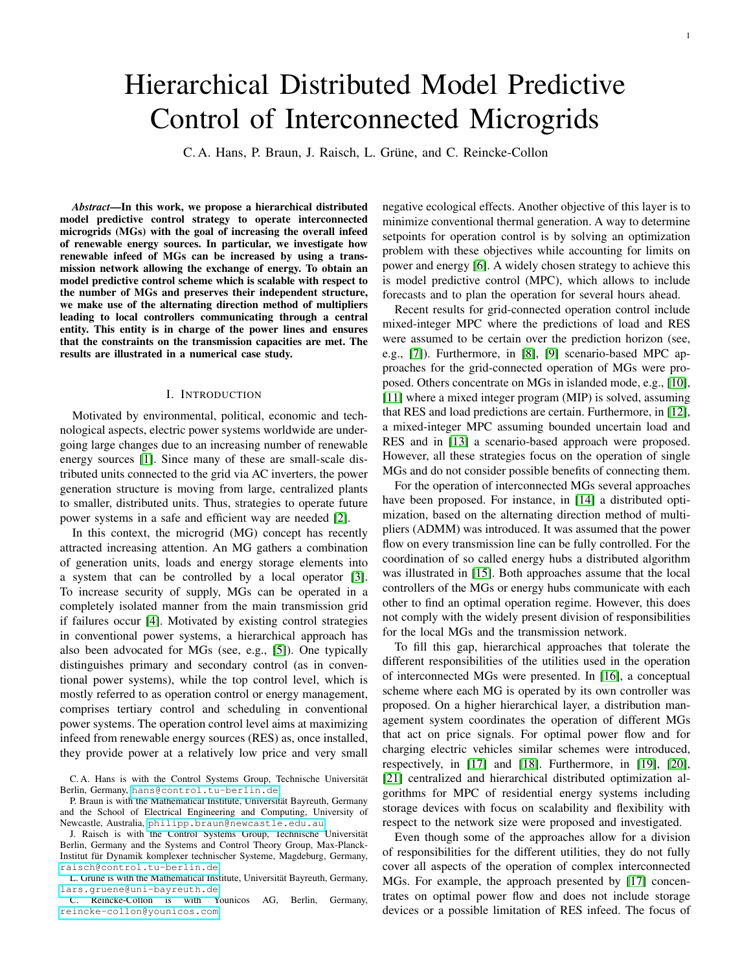1

# Hierarchical Distributed Model Predictive Control of Interconnected Microgrids

C. A. Hans, P. Braun, J. Raisch, L. Grüne, and C. Reincke-Collon

*Abstract*—In this work, we propose a hierarchical distributed model predictive control strategy to operate interconnected microgrids (MGs) with the goal of increasing the overall infeed of renewable energy sources. In particular, we investigate how renewable infeed of MGs can be increased by using a transmission network allowing the exchange of energy. To obtain an model predictive control scheme which is scalable with respect to the number of MGs and preserves their independent structure, we make use of the alternating direction method of multipliers leading to local controllers communicating through a central entity. This entity is in charge of the power lines and ensures that the constraints on the transmission capacities are met. The results are illustrated in a numerical case study.

#### I. INTRODUCTION

Motivated by environmental, political, economic and technological aspects, electric power systems worldwide are undergoing large changes due to an increasing number of renewable energy sources [\[1\]](#page-7-0). Since many of these are small-scale distributed units connected to the grid via AC inverters, the power generation structure is moving from large, centralized plants to smaller, distributed units. Thus, strategies to operate future power systems in a safe and efficient way are needed [\[2\]](#page-7-1).

In this context, the microgrid (MG) concept has recently attracted increasing attention. An MG gathers a combination of generation units, loads and energy storage elements into a system that can be controlled by a local operator [\[3\]](#page-7-2). To increase security of supply, MGs can be operated in a completely isolated manner from the main transmission grid if failures occur [\[4\]](#page-7-3). Motivated by existing control strategies in conventional power systems, a hierarchical approach has also been advocated for MGs (see, e.g., [\[5\]](#page-7-4)). One typically distinguishes primary and secondary control (as in conventional power systems), while the top control level, which is mostly referred to as operation control or energy management, comprises tertiary control and scheduling in conventional power systems. The operation control level aims at maximizing infeed from renewable energy sources (RES) as, once installed, they provide power at a relatively low price and very small

C. Reincke-Collon is with Younicos AG, Berlin, Germany, [reincke-collon@younicos.com](mailto:reincke-collon@younicos.com).

negative ecological effects. Another objective of this layer is to minimize conventional thermal generation. A way to determine setpoints for operation control is by solving an optimization problem with these objectives while accounting for limits on power and energy [\[6\]](#page-7-5). A widely chosen strategy to achieve this is model predictive control (MPC), which allows to include forecasts and to plan the operation for several hours ahead.

Recent results for grid-connected operation control include mixed-integer MPC where the predictions of load and RES were assumed to be certain over the prediction horizon (see, e.g., [\[7\]](#page-7-6)). Furthermore, in [\[8\]](#page-7-7), [\[9\]](#page-7-8) scenario-based MPC approaches for the grid-connected operation of MGs were proposed. Others concentrate on MGs in islanded mode, e.g., [\[10\]](#page-7-9), [\[11\]](#page-7-10) where a mixed integer program (MIP) is solved, assuming that RES and load predictions are certain. Furthermore, in [\[12\]](#page-7-11), a mixed-integer MPC assuming bounded uncertain load and RES and in [\[13\]](#page-7-12) a scenario-based approach were proposed. However, all these strategies focus on the operation of single MGs and do not consider possible benefits of connecting them.

For the operation of interconnected MGs several approaches have been proposed. For instance, in [\[14\]](#page-7-13) a distributed optimization, based on the alternating direction method of multipliers (ADMM) was introduced. It was assumed that the power flow on every transmission line can be fully controlled. For the coordination of so called energy hubs a distributed algorithm was illustrated in [\[15\]](#page-7-14). Both approaches assume that the local controllers of the MGs or energy hubs communicate with each other to find an optimal operation regime. However, this does not comply with the widely present division of responsibilities for the local MGs and the transmission network.

To fill this gap, hierarchical approaches that tolerate the different responsibilities of the utilities used in the operation of interconnected MGs were presented. In [\[16\]](#page-7-15), a conceptual scheme where each MG is operated by its own controller was proposed. On a higher hierarchical layer, a distribution management system coordinates the operation of different MGs that act on price signals. For optimal power flow and for charging electric vehicles similar schemes were introduced, respectively, in [\[17\]](#page-7-16) and [\[18\]](#page-7-17). Furthermore, in [\[19\]](#page-7-18), [\[20\]](#page-7-19), [\[21\]](#page-7-20) centralized and hierarchical distributed optimization algorithms for MPC of residential energy systems including storage devices with focus on scalability and flexibility with respect to the network size were proposed and investigated.

Even though some of the approaches allow for a division of responsibilities for the different utilities, they do not fully cover all aspects of the operation of complex interconnected MGs. For example, the approach presented by [\[17\]](#page-7-16) concentrates on optimal power flow and does not include storage devices or a possible limitation of RES infeed. The focus of

C. A. Hans is with the Control Systems Group, Technische Universität Berlin, Germany, [hans@control.tu-berlin.de](mailto:hans@control.tu-berlin.de).

P. Braun is with the Mathematical Institute, Universität Bayreuth, Germany and the School of Electrical Engineering and Computing, University of Newcastle, Australia, [philipp.braun@newcastle.edu.au](mailto:philipp.braun@newcastle.edu.au).

J. Raisch is with the Control Systems Group, Technische Universität Berlin, Germany and the Systems and Control Theory Group, Max-Planck-Institut für Dynamik komplexer technischer Systeme, Magdeburg, Germany, [raisch@control.tu-berlin.de](mailto:raisch@control.tu-berlin.de).

L. Grüne is with the Mathematical Institute, Universität Bayreuth, Germany, [lars.gruene@uni-bayreuth.de](mailto:lars.gruene@uni-bayreuth.de).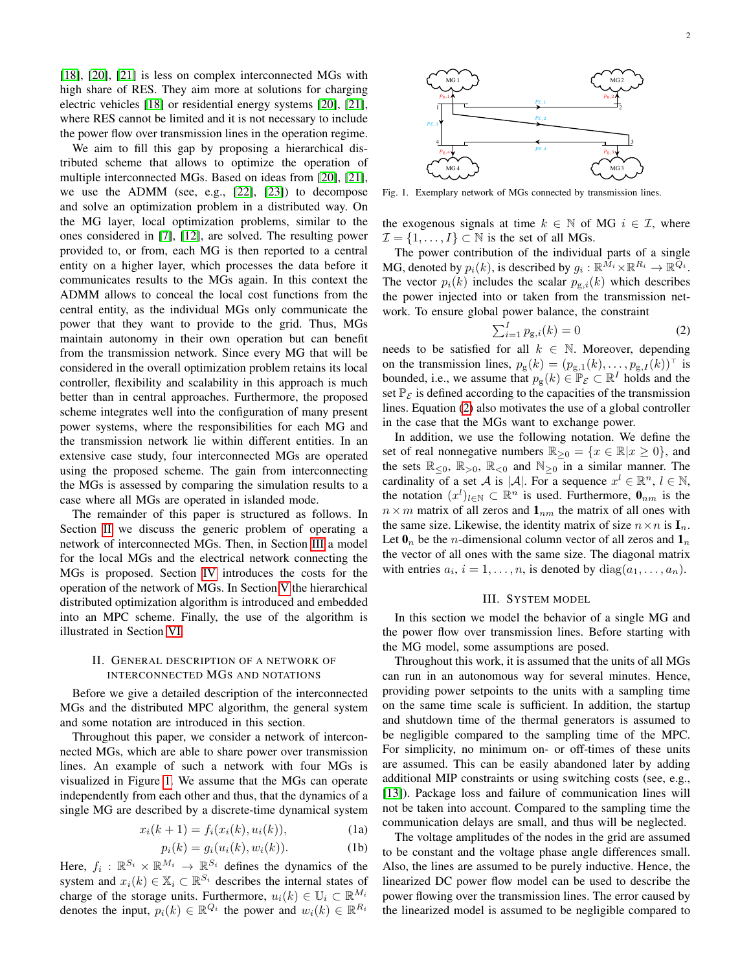[\[18\]](#page-7-17), [\[20\]](#page-7-19), [\[21\]](#page-7-20) is less on complex interconnected MGs with high share of RES. They aim more at solutions for charging electric vehicles [\[18\]](#page-7-17) or residential energy systems [\[20\]](#page-7-19), [\[21\]](#page-7-20), where RES cannot be limited and it is not necessary to include the power flow over transmission lines in the operation regime.

We aim to fill this gap by proposing a hierarchical distributed scheme that allows to optimize the operation of multiple interconnected MGs. Based on ideas from [\[20\]](#page-7-19), [\[21\]](#page-7-20), we use the ADMM (see, e.g., [\[22\]](#page-7-21), [\[23\]](#page-7-22)) to decompose and solve an optimization problem in a distributed way. On the MG layer, local optimization problems, similar to the ones considered in [\[7\]](#page-7-6), [\[12\]](#page-7-11), are solved. The resulting power provided to, or from, each MG is then reported to a central entity on a higher layer, which processes the data before it communicates results to the MGs again. In this context the ADMM allows to conceal the local cost functions from the central entity, as the individual MGs only communicate the power that they want to provide to the grid. Thus, MGs maintain autonomy in their own operation but can benefit from the transmission network. Since every MG that will be considered in the overall optimization problem retains its local controller, flexibility and scalability in this approach is much better than in central approaches. Furthermore, the proposed scheme integrates well into the configuration of many present power systems, where the responsibilities for each MG and the transmission network lie within different entities. In an extensive case study, four interconnected MGs are operated using the proposed scheme. The gain from interconnecting the MGs is assessed by comparing the simulation results to a case where all MGs are operated in islanded mode.

The remainder of this paper is structured as follows. In Section [II](#page-1-0) we discuss the generic problem of operating a network of interconnected MGs. Then, in Section [III](#page-1-1) a model for the local MGs and the electrical network connecting the MGs is proposed. Section [IV](#page-3-0) introduces the costs for the operation of the network of MGs. In Section [V](#page-3-1) the hierarchical distributed optimization algorithm is introduced and embedded into an MPC scheme. Finally, the use of the algorithm is illustrated in Section [VI.](#page-5-0)

# <span id="page-1-0"></span>II. GENERAL DESCRIPTION OF A NETWORK OF INTERCONNECTED MGS AND NOTATIONS

Before we give a detailed description of the interconnected MGs and the distributed MPC algorithm, the general system and some notation are introduced in this section.

Throughout this paper, we consider a network of interconnected MGs, which are able to share power over transmission lines. An example of such a network with four MGs is visualized in Figure [1.](#page-1-2) We assume that the MGs can operate independently from each other and thus, that the dynamics of a single MG are described by a discrete-time dynamical system

$$
x_i(k+1) = f_i(x_i(k), u_i(k)),
$$
 (1a)

$$
p_i(k) = g_i(u_i(k), w_i(k)).
$$
 (1b)

Here,  $f_i: \mathbb{R}^{S_i} \times \mathbb{R}^{M_i} \to \mathbb{R}^{S_i}$  defines the dynamics of the system and  $x_i(k) \in \mathbb{X}_i \subset \mathbb{R}^{S_i}$  describes the internal states of charge of the storage units. Furthermore,  $u_i(k) \in \mathbb{U}_i \subset \mathbb{R}^{M_i}$ denotes the input,  $p_i(k) \in \mathbb{R}^{Q_i}$  the power and  $w_i(k) \in \mathbb{R}^{R_i}$ 

<span id="page-1-2"></span>

the exogenous signals at time  $k \in \mathbb{N}$  of MG  $i \in \mathcal{I}$ , where  $\mathcal{I} = \{1, \ldots, I\} \subset \mathbb{N}$  is the set of all MGs.

The power contribution of the individual parts of a single MG, denoted by  $p_i(k)$ , is described by  $g_i: \mathbb{R}^{\bar{M}_i} \times \mathbb{R}^{R_i} \to \mathbb{R}^{\bar{Q}_i}$ . The vector  $p_i(k)$  includes the scalar  $p_{g,i}(k)$  which describes the power injected into or taken from the transmission network. To ensure global power balance, the constraint

<span id="page-1-3"></span>
$$
\sum_{i=1}^{I} p_{g,i}(k) = 0
$$
 (2)

needs to be satisfied for all  $k \in \mathbb{N}$ . Moreover, depending on the transmission lines,  $p_g(k) = (p_{g,1}(k), \ldots, p_{g,I}(k))^{\top}$  is bounded, i.e., we assume that  $p_g(k) \in \mathbb{P}_{\mathcal{E}} \subset \mathbb{R}^I$  holds and the set  $\mathbb{P}_{\mathcal{E}}$  is defined according to the capacities of the transmission lines. Equation [\(2\)](#page-1-3) also motivates the use of a global controller in the case that the MGs want to exchange power.

In addition, we use the following notation. We define the set of real nonnegative numbers  $\mathbb{R}_{\geq 0} = \{x \in \mathbb{R} | x \geq 0\}$ , and the sets  $\mathbb{R}_{\leq 0}$ ,  $\mathbb{R}_{>0}$ ,  $\mathbb{R}_{< 0}$  and  $\mathbb{N}_{\geq 0}$  in a similar manner. The cardinality of a set A is |A|. For a sequence  $x^l \in \mathbb{R}^n$ ,  $l \in \mathbb{N}$ , the notation  $(x^{l})_{l \in \mathbb{N}} \subset \mathbb{R}^{n}$  is used. Furthermore,  $\mathbf{0}_{nm}$  is the  $n \times m$  matrix of all zeros and  $\mathbf{1}_{nm}$  the matrix of all ones with the same size. Likewise, the identity matrix of size  $n \times n$  is  $\mathbf{I}_n$ . Let  $\mathbf{0}_n$  be the *n*-dimensional column vector of all zeros and  $\mathbf{1}_n$ the vector of all ones with the same size. The diagonal matrix with entries  $a_i$ ,  $i = 1, \ldots, n$ , is denoted by  $diag(a_1, \ldots, a_n)$ .

## III. SYSTEM MODEL

<span id="page-1-1"></span>In this section we model the behavior of a single MG and the power flow over transmission lines. Before starting with the MG model, some assumptions are posed.

Throughout this work, it is assumed that the units of all MGs can run in an autonomous way for several minutes. Hence, providing power setpoints to the units with a sampling time on the same time scale is sufficient. In addition, the startup and shutdown time of the thermal generators is assumed to be negligible compared to the sampling time of the MPC. For simplicity, no minimum on- or off-times of these units are assumed. This can be easily abandoned later by adding additional MIP constraints or using switching costs (see, e.g., [\[13\]](#page-7-12)). Package loss and failure of communication lines will not be taken into account. Compared to the sampling time the communication delays are small, and thus will be neglected.

The voltage amplitudes of the nodes in the grid are assumed to be constant and the voltage phase angle differences small. Also, the lines are assumed to be purely inductive. Hence, the linearized DC power flow model can be used to describe the power flowing over the transmission lines. The error caused by the linearized model is assumed to be negligible compared to

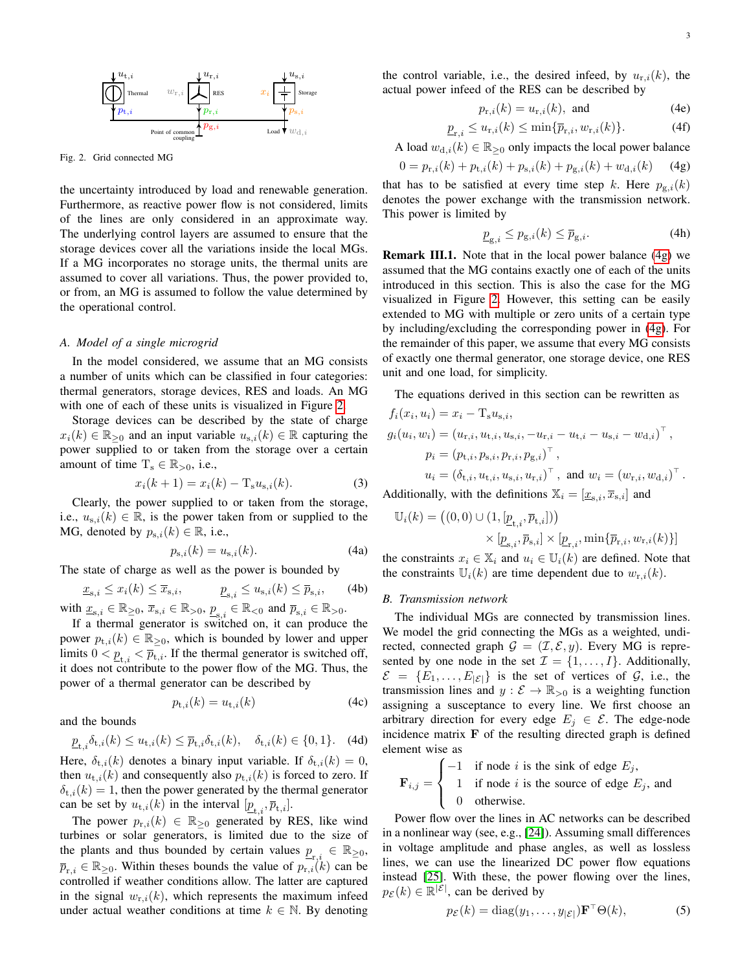

<span id="page-2-0"></span>Fig. 2. Grid connected MG

the uncertainty introduced by load and renewable generation. Furthermore, as reactive power flow is not considered, limits of the lines are only considered in an approximate way. The underlying control layers are assumed to ensure that the storage devices cover all the variations inside the local MGs. If a MG incorporates no storage units, the thermal units are assumed to cover all variations. Thus, the power provided to, or from, an MG is assumed to follow the value determined by the operational control.

## *A. Model of a single microgrid*

In the model considered, we assume that an MG consists a number of units which can be classified in four categories: thermal generators, storage devices, RES and loads. An MG with one of each of these units is visualized in Figure [2.](#page-2-0)

Storage devices can be described by the state of charge  $x_i(k) \in \mathbb{R}_{\geq 0}$  and an input variable  $u_{s,i}(k) \in \mathbb{R}$  capturing the power supplied to or taken from the storage over a certain amount of time  $T_s \in \mathbb{R}_{>0}$ , i.e.,

$$
x_i(k+1) = x_i(k) - T_s u_{s,i}(k).
$$
 (3)

Clearly, the power supplied to or taken from the storage, i.e.,  $u_{s,i}(k) \in \mathbb{R}$ , is the power taken from or supplied to the MG, denoted by  $p_{s,i}(k) \in \mathbb{R}$ , i.e.,

$$
p_{\mathrm{s},i}(k) = u_{\mathrm{s},i}(k). \tag{4a}
$$

The state of charge as well as the power is bounded by

$$
\underline{x}_{s,i} \le x_i(k) \le \overline{x}_{s,i}, \qquad \underline{p}_{s,i} \le u_{s,i}(k) \le \overline{p}_{s,i}, \qquad (4b)
$$

with  $\underline{x}_{s,i} \in \mathbb{R}_{\geq 0}$ ,  $\overline{x}_{s,i} \in \mathbb{R}_{>0}$ ,  $\underline{p}_{s,i} \in \mathbb{R}_{<0}$  and  $\overline{p}_{s,i} \in \mathbb{R}_{>0}$ .

If a thermal generator is switched on, it can produce the power  $p_{t,i}(k) \in \mathbb{R}_{\geq 0}$ , which is bounded by lower and upper limits  $0 < \underline{p}_{t,i} < \overline{p}_{t,i}$ . If the thermal generator is switched off, it does not contribute to the power flow of the MG. Thus, the power of a thermal generator can be described by

$$
p_{t,i}(k) = u_{t,i}(k) \tag{4c}
$$

and the bounds

<span id="page-2-4"></span>
$$
\underline{p}_{\mathrm{t},i}\delta_{\mathrm{t},i}(k)\leq u_{\mathrm{t},i}(k)\leq \overline{p}_{\mathrm{t},i}\delta_{\mathrm{t},i}(k),\quad \delta_{\mathrm{t},i}(k)\in\{0,1\}.\quad \text{(4d)}
$$

Here,  $\delta_{t,i}(k)$  denotes a binary input variable. If  $\delta_{t,i}(k) = 0$ , then  $u_{t,i}(k)$  and consequently also  $p_{t,i}(k)$  is forced to zero. If  $\delta_{t,i}(k) = 1$ , then the power generated by the thermal generator can be set by  $u_{t,i}(k)$  in the interval  $[\underline{p}_{t,i}, \overline{p}_{t,i}].$ 

The power  $p_{r,i}(k) \in \mathbb{R}_{\geq 0}$  generated by RES, like wind turbines or solar generators, is limited due to the size of the plants and thus bounded by certain values  $\underline{p}_{r,i} \in \mathbb{R}_{\geq 0}$ ,  $\overline{p}_{r,i} \in \mathbb{R}_{\geq 0}$ . Within theses bounds the value of  $p_{r,i}(k)$  can be controlled if weather conditions allow. The latter are captured in the signal  $w_{r,i}(k)$ , which represents the maximum infeed under actual weather conditions at time  $k \in \mathbb{N}$ . By denoting

the control variable, i.e., the desired infeed, by  $u_{r,i}(k)$ , the actual power infeed of the RES can be described by

$$
p_{\mathrm{r},i}(k) = u_{\mathrm{r},i}(k), \text{ and } \tag{4e}
$$

$$
\underline{p}_{\mathbf{r},i} \le u_{\mathbf{r},i}(k) \le \min\{\overline{p}_{\mathbf{r},i}, w_{\mathbf{r},i}(k)\}.
$$
 (4f)

A load  $w_{d,i}(k) \in \mathbb{R}_{\geq 0}$  only impacts the local power balance

$$
0 = p_{r,i}(k) + p_{t,i}(k) + p_{s,i}(k) + p_{g,i}(k) + w_{d,i}(k)
$$
 (4g)

that has to be satisfied at every time step k. Here  $p_{g,i}(k)$ denotes the power exchange with the transmission network. This power is limited by

<span id="page-2-1"></span>
$$
\underline{p}_{g,i} \le p_{g,i}(k) \le \overline{p}_{g,i}.
$$
\n(4h)

Remark III.1. Note that in the local power balance [\(4g\)](#page-2-1) we assumed that the MG contains exactly one of each of the units introduced in this section. This is also the case for the MG visualized in Figure [2.](#page-2-0) However, this setting can be easily extended to MG with multiple or zero units of a certain type by including/excluding the corresponding power in [\(4g\)](#page-2-1). For the remainder of this paper, we assume that every MG consists of exactly one thermal generator, one storage device, one RES unit and one load, for simplicity.

The equations derived in this section can be rewritten as

$$
f_i(x_i, u_i) = x_i - T_s u_{s,i},
$$
  
\n
$$
g_i(u_i, w_i) = (u_{r,i}, u_{t,i}, u_{s,i}, -u_{r,i} - u_{t,i} - u_{s,i} - w_{d,i})^\top,
$$
  
\n
$$
p_i = (p_{t,i}, p_{s,i}, p_{r,i}, p_{g,i})^\top,
$$
  
\n
$$
u_i = (\delta_{t,i}, u_{t,i}, u_{s,i}, u_{r,i})^\top, \text{ and } w_i = (w_{r,i}, w_{d,i})^\top.
$$
  
\nAdditionally, with the definitions  $\mathbb{X}_i = [\underline{x}_{s,i}, \overline{x}_{s,i}]$  and

$$
\begin{aligned} \mathbb{U}_i(k) & = \left( (0,0) \cup (1,[\underline{p}_{\mathrm{t},i},\overline{p}_{\mathrm{t},i}]) \right) \\ & \times [\underline{p}_{\mathrm{s},i},\overline{p}_{\mathrm{s},i}] \times [\underline{p}_{\mathrm{r},i},\min\{\overline{p}_{\mathrm{r},i},w_{\mathrm{r},i}(k)\}] \end{aligned}
$$

the constraints  $x_i \in \mathbb{X}_i$  and  $u_i \in \mathbb{U}_i(k)$  are defined. Note that the constraints  $\mathbb{U}_i(k)$  are time dependent due to  $w_{\text{r},i}(k)$ .

#### <span id="page-2-3"></span>*B. Transmission network*

The individual MGs are connected by transmission lines. We model the grid connecting the MGs as a weighted, undirected, connected graph  $\mathcal{G} = (\mathcal{I}, \mathcal{E}, y)$ . Every MG is represented by one node in the set  $\mathcal{I} = \{1, \ldots, I\}$ . Additionally,  $\mathcal{E} = \{E_1, \ldots, E_{|\mathcal{E}|}\}\$ is the set of vertices of  $\mathcal{G}$ , i.e., the transmission lines and  $y : \mathcal{E} \to \mathbb{R}_{>0}$  is a weighting function assigning a susceptance to every line. We first choose an arbitrary direction for every edge  $E_j \in \mathcal{E}$ . The edge-node incidence matrix  $\bf{F}$  of the resulting directed graph is defined element wise as

$$
\mathbf{F}_{i,j} = \begin{cases}\n-1 & \text{if node } i \text{ is the sink of edge } E_j, \\
1 & \text{if node } i \text{ is the source of edge } E_j, \\
0 & \text{otherwise.} \n\end{cases}
$$

Power flow over the lines in AC networks can be described in a nonlinear way (see, e.g., [\[24\]](#page-7-23)). Assuming small differences in voltage amplitude and phase angles, as well as lossless lines, we can use the linearized DC power flow equations instead [\[25\]](#page-7-24). With these, the power flowing over the lines,  $p_{\mathcal{E}}(k) \in \mathbb{R}^{|\mathcal{E}|}$ , can be derived by

<span id="page-2-2"></span>
$$
p_{\mathcal{E}}(k) = \text{diag}(y_1, \dots, y_{|\mathcal{E}|}) \mathbf{F}^\top \Theta(k), \tag{5}
$$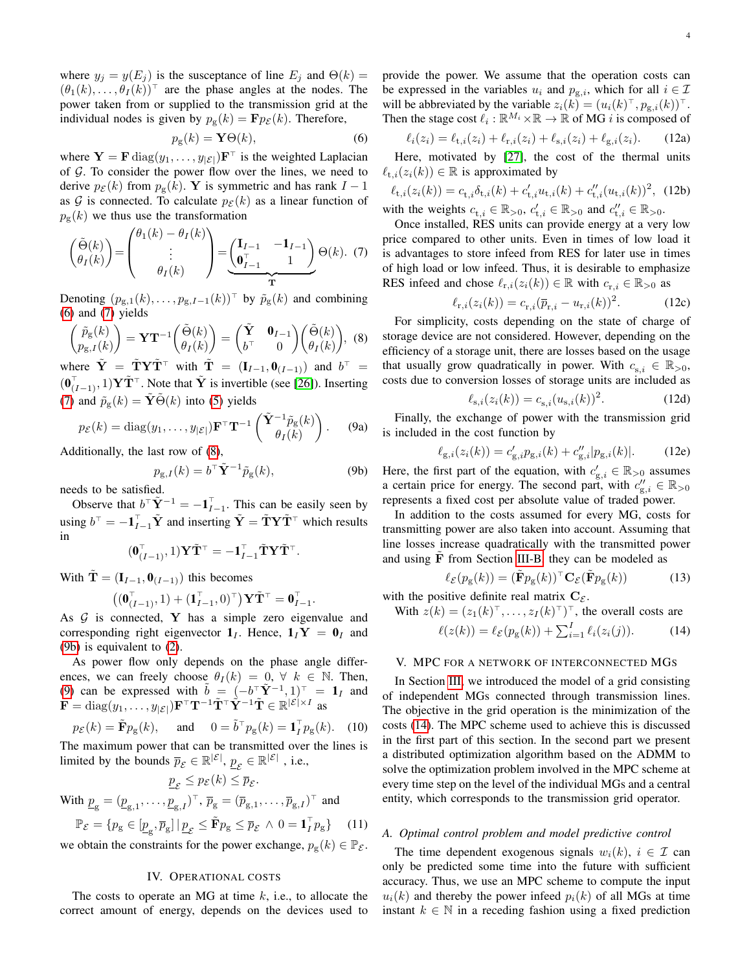where  $y_j = y(E_j)$  is the susceptance of line  $E_j$  and  $\Theta(k) =$  $(\theta_1(k), \ldots, \theta_I(k))^{\top}$  are the phase angles at the nodes. The power taken from or supplied to the transmission grid at the individual nodes is given by  $p_{\rm g}(k) = \mathbf{F} p_{\mathcal{E}}(k)$ . Therefore,

<span id="page-3-2"></span>
$$
p_{\rm g}(k) = \mathbf{Y}\Theta(k),\tag{6}
$$

where  $\mathbf{Y} = \mathbf{F} \text{diag}(y_1, \dots, y_{|\mathcal{E}|}) \mathbf{F}^\top$  is the weighted Laplacian of  $G$ . To consider the power flow over the lines, we need to derive  $p_{\mathcal{E}}(k)$  from  $p_{\mathcal{E}}(k)$ . Y is symmetric and has rank  $I-1$ as G is connected. To calculate  $p_{\mathcal{E}}(k)$  as a linear function of  $p_{\rm g}(k)$  we thus use the transformation

<span id="page-3-3"></span>
$$
\begin{pmatrix} \tilde{\Theta}(k) \\ \theta_I(k) \end{pmatrix} = \begin{pmatrix} \theta_1(k) - \theta_I(k) \\ \vdots \\ \theta_I(k) \end{pmatrix} = \underbrace{\begin{pmatrix} \mathbf{I}_{I-1} & -\mathbf{1}_{I-1} \\ \mathbf{0}_{I-1}^T & 1 \end{pmatrix}}_{\mathbf{T}} \Theta(k). (7)
$$

Denoting  $(p_{g,1}(k), \ldots, p_{g,I-1}(k))^{\top}$  by  $\tilde{p}_g(k)$  and combining [\(6\)](#page-3-2) and [\(7\)](#page-3-3) yields

<span id="page-3-4"></span>
$$
\begin{pmatrix} \tilde{p}_{g}(k) \\ p_{g,I}(k) \end{pmatrix} = \mathbf{Y}\mathbf{T}^{-1} \begin{pmatrix} \tilde{\Theta}(k) \\ \theta_{I}(k) \end{pmatrix} = \begin{pmatrix} \tilde{\mathbf{Y}} & \mathbf{0}_{I-1} \\ b^{\top} & 0 \end{pmatrix} \begin{pmatrix} \tilde{\Theta}(k) \\ \theta_{I}(k) \end{pmatrix}, \tag{8}
$$

where  $\tilde{\mathbf{Y}} = \tilde{\mathbf{T}} \mathbf{Y} \tilde{\mathbf{T}}^{\top}$  with  $\tilde{\mathbf{T}} = (\mathbf{I}_{I-1}, \mathbf{0}_{(I-1)})$  and  $b^{\top} =$  $(\mathbf{0}_{(I-1)}^{\top}, 1) \mathbf{Y} \tilde{\mathbf{T}}^{\top}$ . Note that  $\tilde{\mathbf{Y}}$  is invertible (see [\[26\]](#page-7-25)). Inserting [\(7\)](#page-3-3) and  $\tilde{p}_{g}(k) = \tilde{\mathbf{Y}}\tilde{\Theta}(k)$  into [\(5\)](#page-2-2) yields

$$
p_{\mathcal{E}}(k) = \text{diag}(y_1, \dots, y_{|\mathcal{E}|}) \mathbf{F}^{\top} \mathbf{T}^{-1} \begin{pmatrix} \tilde{\mathbf{Y}}^{-1} \tilde{p}_{\mathbf{g}}(k) \\ \theta_I(k) \end{pmatrix}.
$$
 (9a)

Additionally, the last row of [\(8\)](#page-3-4),

<span id="page-3-5"></span>
$$
p_{g,I}(k) = b^{\top} \tilde{\mathbf{Y}}^{-1} \tilde{p}_g(k), \tag{9b}
$$

needs to be satisfied.

Observe that  $b^{\top} \tilde{Y}^{-1} = -\mathbf{1}_{I-1}^{\top}$ . This can be easily seen by using  $b^{\top} = -\mathbf{1}_{I-1}^{\top} \tilde{\mathbf{Y}}$  and inserting  $\tilde{\mathbf{Y}} = \tilde{\mathbf{T}} \mathbf{Y} \tilde{\mathbf{T}}^{\top}$  which results in

$$
(\mathbf{0}_{(I-1)}^{\top}, 1) \mathbf{Y} \tilde{\mathbf{T}}^{\top} = -\mathbf{1}_{I-1}^{\top} \tilde{\mathbf{T}} \mathbf{Y} \tilde{\mathbf{T}}^{\top}.
$$

With  $\tilde{\mathbf{T}} = (\mathbf{I}_{I-1}, \mathbf{0}_{(I-1)})$  this becomes

$$
\big((\mathbf{0}_{(I-1)}^\top,1)+(\mathbf{1}_{I-1}^\top,0)^\top\big) \mathbf{Y} \tilde{\mathbf{T}}^\top = \mathbf{0}_{I-1}^\top.
$$

As  $G$  is connected, Y has a simple zero eigenvalue and corresponding right eigenvector  $\mathbf{1}_I$ . Hence,  $\mathbf{1}_I \mathbf{Y} = \mathbf{0}_I$  and [\(9b\)](#page-3-5) is equivalent to [\(2\)](#page-1-3).

As power flow only depends on the phase angle differences, we can freely choose  $\theta_I(k) = 0, \forall k \in \mathbb{N}$ . Then, [\(9\)](#page-3-5) can be expressed with  $\tilde{b} = (-b^{\dagger} \tilde{Y}^{-1}, 1)^{\dagger} = 1$ <sub>I</sub> and  $\tilde{\mathbf{F}} = \text{diag}(y_1, \dots, y_{|\mathcal{E}|}) \mathbf{F}^\top \mathbf{T}^{-1} \tilde{\mathbf{T}}^\top \hat{\mathbf{Y}}^{-1} \tilde{\mathbf{T}} \in \mathbb{R}^{|\mathcal{E}| \times I}$  as

$$
p_{\mathcal{E}}(k) = \tilde{\mathbf{F}} p_{\mathbf{g}}(k), \quad \text{and} \quad 0 = \tilde{b}^{\top} p_{\mathbf{g}}(k) = \mathbf{1}_I^{\top} p_{\mathbf{g}}(k). \quad (10)
$$

The maximum power that can be transmitted over the lines is limited by the bounds  $\bar{p}_{\mathcal{E}} \in \mathbb{R}^{|\mathcal{E}|}$ ,  $\underline{p}_{\mathcal{E}} \in \mathbb{R}^{|\mathcal{E}|}$ , i.e.,

$$
\underline{p}_{\mathcal{E}} \leq p_{\mathcal{E}}(k) \leq \overline{p}_{\mathcal{E}}.
$$

With  $\underline{p}_g = (\underline{p}_{g,1}, \dots, \underline{p}_{g,I})^\top$ ,  $\overline{p}_g = (\overline{p}_{g,1}, \dots, \overline{p}_{g,I})^\top$  and

$$
\mathbb{P}_{\mathcal{E}} = \{ p_{\mathbf{g}} \in [\underline{p}_{\mathbf{g}}, \overline{p}_{\mathbf{g}}] \, | \, \underline{p}_{\mathcal{E}} \le \tilde{\mathbf{F}} p_{\mathbf{g}} \le \overline{p}_{\mathcal{E}} \, \wedge \, 0 = \mathbf{1}_{I}^{\top} p_{\mathbf{g}} \} \qquad (11)
$$

we obtain the constraints for the power exchange,  $p_g(k) \in \mathbb{P}_{\mathcal{E}}$ .

# IV. OPERATIONAL COSTS

<span id="page-3-7"></span><span id="page-3-0"></span>The costs to operate an MG at time  $k$ , i.e., to allocate the correct amount of energy, depends on the devices used to provide the power. We assume that the operation costs can be expressed in the variables  $u_i$  and  $p_{g,i}$ , which for all  $i \in \mathcal{I}$ will be abbreviated by the variable  $z_i(k) = (u_i(k)^\top, p_{g,i}(k))^\top$ . Then the stage cost  $\ell_i : \mathbb{R}^{M_i} \times \mathbb{R} \to \mathbb{R}$  of MG i is composed of

$$
\ell_i(z_i) = \ell_{t,i}(z_i) + \ell_{r,i}(z_i) + \ell_{s,i}(z_i) + \ell_{g,i}(z_i). \tag{12a}
$$

Here, motivated by [\[27\]](#page-7-26), the cost of the thermal units  $\ell_{t,i}(z_i(k)) \in \mathbb{R}$  is approximated by

$$
\ell_{t,i}(z_i(k)) = c_{t,i}\delta_{t,i}(k) + c'_{t,i}u_{t,i}(k) + c''_{t,i}(u_{t,i}(k))^2, \quad (12b)
$$
\nwith the weights  $c_{t,i} \in \mathbb{R}_{>0}$ ,  $c'_{t,i} \in \mathbb{R}_{>0}$  and  $c''_{t,i} \in \mathbb{R}_{>0}$ .

Once installed, RES units can provide energy at a very low price compared to other units. Even in times of low load it is advantages to store infeed from RES for later use in times of high load or low infeed. Thus, it is desirable to emphasize RES infeed and chose  $\ell_{r,i}(z_i(k)) \in \mathbb{R}$  with  $c_{r,i} \in \mathbb{R}_{>0}$  as

$$
\ell_{\mathbf{r},i}(z_i(k)) = c_{\mathbf{r},i}(\overline{p}_{\mathbf{r},i} - u_{\mathbf{r},i}(k))^2.
$$
 (12c)

For simplicity, costs depending on the state of charge of storage device are not considered. However, depending on the efficiency of a storage unit, there are losses based on the usage that usually grow quadratically in power. With  $c_{s,i} \in \mathbb{R}_{>0}$ , costs due to conversion losses of storage units are included as

$$
\ell_{s,i}(z_i(k)) = c_{s,i}(u_{s,i}(k))^2.
$$
 (12d)

Finally, the exchange of power with the transmission grid is included in the cost function by

$$
\ell_{g,i}(z_i(k)) = c'_{g,i} p_{g,i}(k) + c''_{g,i} |p_{g,i}(k)|.
$$
 (12e)

Here, the first part of the equation, with  $c'_{g,i} \in \mathbb{R}_{>0}$  assumes a certain price for energy. The second part, with  $c''_{g,i} \in \mathbb{R}_{>0}$ represents a fixed cost per absolute value of traded power.

In addition to the costs assumed for every MG, costs for transmitting power are also taken into account. Assuming that line losses increase quadratically with the transmitted power and using  $F$  from Section [III-B,](#page-2-3) they can be modeled as

<span id="page-3-8"></span><span id="page-3-6"></span>
$$
\ell_{\mathcal{E}}(p_{\mathrm{g}}(k)) = (\tilde{\mathbf{F}}p_{\mathrm{g}}(k))^{\top} \mathbf{C}_{\mathcal{E}}(\tilde{\mathbf{F}}p_{\mathrm{g}}(k))
$$
 (13)

with the positive definite real matrix  $C_{\mathcal{E}}$ .

With  $z(k) = (z_1(k)^{\top}, \dots, z_I(k)^{\top})^{\top}$ , the overall costs are  $\ell(z(k)) = \ell_{\mathcal{E}}(p_{\mathbf{g}}(k)) + \sum_{i=1}^{I} \ell_i(z_i(j)).$  (14)

#### <span id="page-3-1"></span>V. MPC FOR A NETWORK OF INTERCONNECTED MGS

In Section [III,](#page-1-1) we introduced the model of a grid consisting of independent MGs connected through transmission lines. The objective in the grid operation is the minimization of the costs [\(14\)](#page-3-6). The MPC scheme used to achieve this is discussed in the first part of this section. In the second part we present a distributed optimization algorithm based on the ADMM to solve the optimization problem involved in the MPC scheme at every time step on the level of the individual MGs and a central entity, which corresponds to the transmission grid operator.

#### *A. Optimal control problem and model predictive control*

The time dependent exogenous signals  $w_i(k)$ ,  $i \in \mathcal{I}$  can only be predicted some time into the future with sufficient accuracy. Thus, we use an MPC scheme to compute the input  $u_i(k)$  and thereby the power infeed  $p_i(k)$  of all MGs at time instant  $k \in \mathbb{N}$  in a receding fashion using a fixed prediction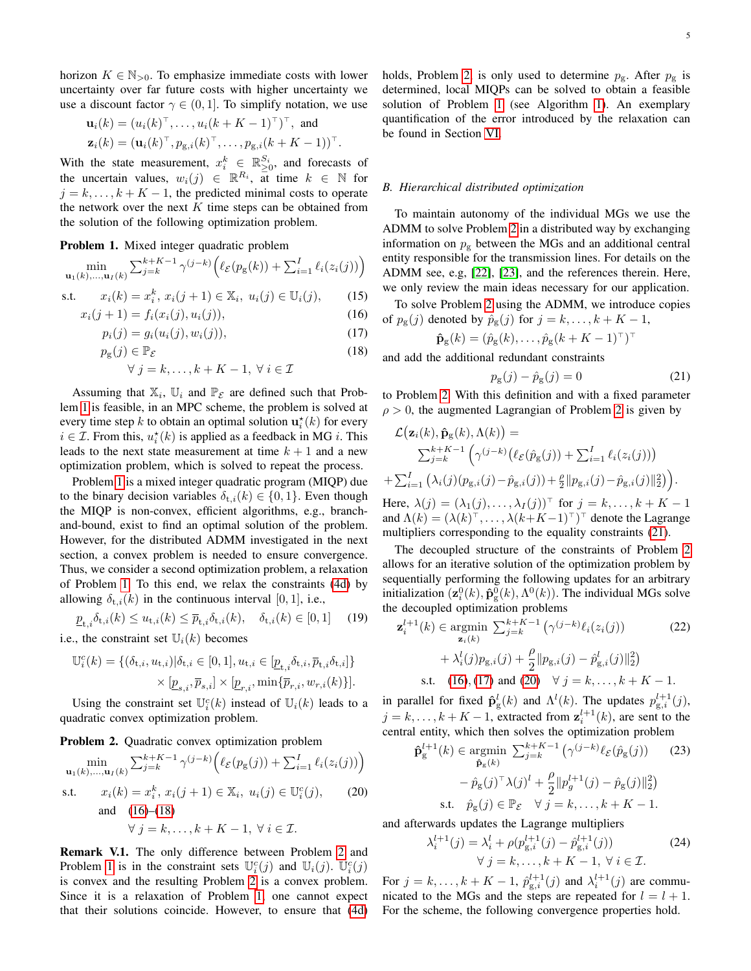horizon  $K \in \mathbb{N}_{>0}$ . To emphasize immediate costs with lower uncertainty over far future costs with higher uncertainty we use a discount factor  $\gamma \in (0, 1]$ . To simplify notation, we use

$$
\mathbf{u}_i(k) = (u_i(k)^\top, \dots, u_i(k + K - 1)^\top)^\top, \text{ and}
$$
  

$$
\mathbf{z}_i(k) = (\mathbf{u}_i(k)^\top, p_{\mathbf{g},i}(k)^\top, \dots, p_{\mathbf{g},i}(k + K - 1))^\top
$$

.

With the state measurement,  $x_i^k \in \mathbb{R}_{\geq 0}^{S_i}$ , and forecasts of the uncertain values,  $w_i(j) \in \mathbb{R}^{R_i}$ , at time  $k \in \mathbb{N}$  for  $j = k, \ldots, k + K - 1$ , the predicted minimal costs to operate the network over the next  $K$  time steps can be obtained from the solution of the following optimization problem.

<span id="page-4-0"></span>Problem 1. Mixed integer quadratic problem

$$
\min_{\mathbf{u}_1(k),\dots,\mathbf{u}_I(k)} \sum_{j=k}^{k+K-1} \gamma^{(j-k)} \Big( \ell_{\mathcal{E}}(p_{\mathrm{g}}(k)) + \sum_{i=1}^I \ell_i(z_i(j)) \Big)
$$

s.t. 
$$
x_i(k) = x_i^k, x_i(j+1) \in \mathbb{X}_i, u_i(j) \in \mathbb{U}_i(j),
$$
 (15)

$$
x_i(j+1) = f_i(x_i(j), u_i(j)),
$$
\n(16)

$$
p_i(j) = g_i(u_i(j), w_i(j)),
$$
\n(17)

$$
p_{\rm g}(j) \in \mathbb{P}_{\mathcal{E}} \tag{18}
$$

$$
\forall j = k, \dots, k + K - 1, \ \forall i \in \mathcal{I}
$$

Assuming that  $\mathbb{X}_i$ ,  $\mathbb{U}_i$  and  $\mathbb{P}_{\mathcal{E}}$  are defined such that Problem [1](#page-4-0) is feasible, in an MPC scheme, the problem is solved at every time step k to obtain an optimal solution  $\mathbf{u}_i^{\star}(k)$  for every  $i \in \mathcal{I}$ . From this,  $u_i^*(k)$  is applied as a feedback in MG *i*. This leads to the next state measurement at time  $k + 1$  and a new optimization problem, which is solved to repeat the process.

Problem [1](#page-4-0) is a mixed integer quadratic program (MIQP) due to the binary decision variables  $\delta_{t,i}(k) \in \{0, 1\}$ . Even though the MIQP is non-convex, efficient algorithms, e.g., branchand-bound, exist to find an optimal solution of the problem. However, for the distributed ADMM investigated in the next section, a convex problem is needed to ensure convergence. Thus, we consider a second optimization problem, a relaxation of Problem [1.](#page-4-0) To this end, we relax the constraints [\(4d\)](#page-2-4) by allowing  $\delta_{t,i}(k)$  in the continuous interval [0, 1], i.e.,

$$
\underline{p}_{\mathbf{t},i}\delta_{\mathbf{t},i}(k) \le u_{\mathbf{t},i}(k) \le \overline{p}_{\mathbf{t},i}\delta_{\mathbf{t},i}(k), \quad \delta_{\mathbf{t},i}(k) \in [0,1] \tag{19}
$$

i.e., the constraint set  $\mathbb{U}_i(k)$  becomes

$$
\begin{aligned} \mathbb{U}^c_i(k) = \{ & (\delta_{\text{t},i}, u_{\text{t},i}) | \delta_{\text{t},i} \in [0,1], u_{\text{t},i} \in [\underline{p}_{\text{t},i} \delta_{\text{t},i}, \overline{p}_{\text{t},i} \delta_{\text{t},i}] \} \\ & \times [\underline{p}_{s,i}, \overline{p}_{s,i}] \times [\underline{p}_{r,i}, \min \{ \overline{p}_{r,i}, w_{r,i}(k) \}]. \end{aligned}
$$

Using the constraint set  $\mathbb{U}_i^c(k)$  instead of  $\mathbb{U}_i(k)$  leads to a quadratic convex optimization problem.

# <span id="page-4-3"></span>Problem 2. Quadratic convex optimization problem

$$
\min_{\mathbf{u}_1(k),...,\mathbf{u}_I(k)} \sum_{j=k}^{k+K-1} \gamma^{(j-k)} \Big( \ell_{\mathcal{E}}(p_{\mathcal{E}}(j)) + \sum_{i=1}^I \ell_i(z_i(j)) \Big)
$$
\ns.t.

\n
$$
x_i(k) = x_i^k, x_i(j+1) \in \mathbb{X}_i, u_i(j) \in \mathbb{U}_i^c(j), \qquad (20)
$$
\nand

\n
$$
(16)–(18)
$$
\n
$$
\forall j = k, \dots, k+K-1, \forall i \in \mathcal{I}.
$$

Remark V.1. The only difference between Problem [2](#page-4-3) and Problem [1](#page-4-0) is in the constraint sets  $\mathbb{U}_{i}^{c}(j)$  and  $\mathbb{U}_{i}(j)$ .  $\mathbb{U}_{i}^{c}(j)$ is convex and the resulting Problem [2](#page-4-3) is a convex problem. Since it is a relaxation of Problem [1,](#page-4-0) one cannot expect that their solutions coincide. However, to ensure that [\(4d\)](#page-2-4) holds, Problem [2,](#page-4-3) is only used to determine  $p_{\rm g}$ . After  $p_{\rm g}$  is determined, local MIQPs can be solved to obtain a feasible solution of Problem [1](#page-4-0) (see Algorithm [1\)](#page-5-1). An exemplary quantification of the error introduced by the relaxation can be found in Section [VI.](#page-5-0)

## *B. Hierarchical distributed optimization*

To maintain autonomy of the individual MGs we use the ADMM to solve Problem [2](#page-4-3) in a distributed way by exchanging information on  $p_g$  between the MGs and an additional central entity responsible for the transmission lines. For details on the ADMM see, e.g, [\[22\]](#page-7-21), [\[23\]](#page-7-22), and the references therein. Here, we only review the main ideas necessary for our application.

<span id="page-4-5"></span><span id="page-4-1"></span>To solve Problem [2](#page-4-3) using the ADMM, we introduce copies of  $p_g(j)$  denoted by  $\hat{p}_g(j)$  for  $j = k, \ldots, k + K - 1$ ,

$$
\mathbf{\hat{p}}_{g}(k) = (\hat{p}_{g}(k), \dots, \hat{p}_{g}(k + K - 1)^{\top})^{\top}
$$

<span id="page-4-2"></span>and add the additional redundant constraints

<span id="page-4-4"></span>
$$
p_{\rm g}(j) - \hat{p}_{\rm g}(j) = 0 \tag{21}
$$

to Problem [2.](#page-4-3) With this definition and with a fixed parameter  $\rho > 0$ , the augmented Lagrangian of Problem [2](#page-4-3) is given by

$$
\mathcal{L}\big(\mathbf{z}_i(k), \hat{\mathbf{p}}_g(k), \Lambda(k)\big) =
$$
\n
$$
\sum_{j=k}^{k+K-1} \left( \gamma^{(j-k)} \big( \ell_{\mathcal{E}}(\hat{p}_g(j)) + \sum_{i=1}^I \ell_i(z_i(j)) \big) + \sum_{i=1}^I \left( \lambda_i(j)(p_{g,i}(j) - \hat{p}_{g,i}(j)) + \frac{\rho}{2} ||p_{g,i}(j) - \hat{p}_{g,i}(j)||_2^2 \right) \right).
$$

Here,  $\lambda(j) = (\lambda_1(j), \dots, \lambda_I(j))^T$  for  $j = k, \dots, k + K - 1$ and  $\Lambda(k) = (\lambda(k)^{\top}, \ldots, \lambda(k+K-1)^{\top})^{\top}$  denote the Lagrange multipliers corresponding to the equality constraints [\(21\)](#page-4-4).

The decoupled structure of the constraints of Problem [2](#page-4-3) allows for an iterative solution of the optimization problem by sequentially performing the following updates for an arbitrary initialization  $(\mathbf{z}_i^0(k), \hat{\mathbf{p}}_g^0(k), \Lambda^0(k))$ . The individual MGs solve the decoupled optimization problems

<span id="page-4-7"></span>
$$
\mathbf{z}_{i}^{l+1}(k) \in \underset{\mathbf{z}_{i}(k)}{\operatorname{argmin}} \sum_{j=k}^{k+K-1} \left( \gamma^{(j-k)} \ell_{i}(z_{i}(j)) \right)
$$
(22)  
+  $\lambda_{i}^{l}(j) p_{g,i}(j) + \frac{\rho}{2} ||p_{g,i}(j) - \hat{p}_{g,i}^{l}(j)||_{2}^{2}$ )  
s.t. (16), (17) and (20)  $\forall j = k, ..., k+K-1$ .

in parallel for fixed  $\hat{\mathbf{p}}_g^l(k)$  and  $\Lambda^l(k)$ . The updates  $p_{g,i}^{l+1}(j)$ ,  $j = k, \dots, k + K - 1$ , extracted from  $\mathbf{z}_i^{l+1}(k)$ , are sent to the central entity, which then solves the optimization problem

<span id="page-4-9"></span>
$$
\hat{\mathbf{p}}_{g}^{l+1}(k) \in \underset{\hat{\mathbf{p}}_{g}(k)}{\operatorname{argmin}} \sum_{j=k}^{k+K-1} \left( \gamma^{(j-k)} \ell_{\mathcal{E}}(\hat{p}_{g}(j)) - (23) \right. \n\left. - \hat{p}_{g}(j)^{\top} \lambda(j)^{l} + \frac{\rho}{2} ||p_{g}^{l+1}(j) - \hat{p}_{g}(j)||_{2}^{2} \right) \n\text{s.t.} \quad \hat{p}_{g}(j) \in \mathbb{P}_{\mathcal{E}} \quad \forall j = k, ..., k+K-1.
$$

<span id="page-4-6"></span>and afterwards updates the Lagrange multipliers

<span id="page-4-8"></span>
$$
\lambda_i^{l+1}(j) = \lambda_i^l + \rho(p_{g,i}^{l+1}(j) - \hat{p}_{g,i}^{l+1}(j))
$$
  
 
$$
\forall j = k, ..., k + K - 1, \forall i \in \mathcal{I}.
$$
 (24)

For  $j = k, \ldots, k + K - 1$ ,  $\hat{p}_{g,i}^{l+1}(j)$  and  $\lambda_i^{l+1}(j)$  are communicated to the MGs and the steps are repeated for  $l = l + 1$ . For the scheme, the following convergence properties hold.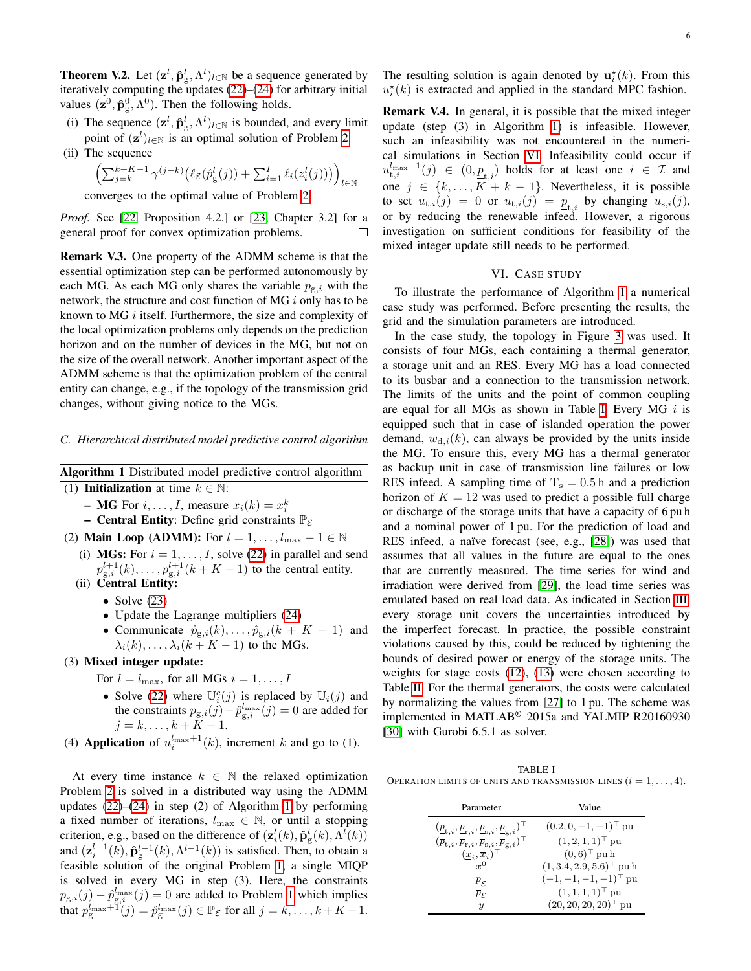**Theorem V.2.** Let  $(\mathbf{z}^l, \hat{\mathbf{p}}_g^l, \Lambda^l)_{l \in \mathbb{N}}$  be a sequence generated by iteratively computing the updates [\(22\)](#page-4-7)–[\(24\)](#page-4-8) for arbitrary initial values  $(\mathbf{z}^0, \hat{\mathbf{p}}_g^0, \Lambda^0)$ . Then the following holds.

- (i) The sequence  $(\mathbf{z}^l, \hat{\mathbf{p}}_g^l, \Lambda^l)_{l \in \mathbb{N}}$  is bounded, and every limit point of  $(\mathbf{z}^l)_{l \in \mathbb{N}}$  is an optimal solution of Problem [2.](#page-4-3)
- (ii) The sequence

$$
\left(\textstyle{\sum}_{j=k}^{k+K-1}\gamma^{(j-k)}\big(\ell_{\mathcal{E}}(\hat{p}^l_\text{g}(j))+\textstyle{\sum}_{i=1}^I \ell_i(z^l_i(j))\big)\right)_{l\in\mathbb{N}}
$$

converges to the optimal value of Problem [2.](#page-4-3)

*Proof.* See [\[22,](#page-7-21) Proposition 4.2.] or [\[23,](#page-7-22) Chapter 3.2] for a general proof for convex optimization problems. П

Remark V.3. One property of the ADMM scheme is that the essential optimization step can be performed autonomously by each MG. As each MG only shares the variable  $p_{g,i}$  with the network, the structure and cost function of MG i only has to be known to MG  $i$  itself. Furthermore, the size and complexity of the local optimization problems only depends on the prediction horizon and on the number of devices in the MG, but not on the size of the overall network. Another important aspect of the ADMM scheme is that the optimization problem of the central entity can change, e.g., if the topology of the transmission grid changes, without giving notice to the MGs.

#### *C. Hierarchical distributed model predictive control algorithm*

<span id="page-5-1"></span>Algorithm 1 Distributed model predictive control algorithm

- (1) Initialization at time  $k \in \mathbb{N}$ :
	- **MG** For  $i, \ldots, I$ , measure  $x_i(k) = x_i^k$
	- Central Entity: Define grid constraints  $\mathbb{P}_{\mathcal{E}}$
- (2) **Main Loop (ADMM):** For  $l = 1, ..., l_{\text{max}} 1 \in \mathbb{N}$ 
	- (i) MGs: For  $i = 1, \ldots, I$ , solve [\(22\)](#page-4-7) in parallel and send  $p_{g,i}^{l+1}(k), \ldots, p_{g,i}^{l+1}(k+K-1)$  to the central entity. (ii) Central Entity:
		-
		- Solve  $(23)$
		- Update the Lagrange multipliers [\(24\)](#page-4-8)
		- Communicate  $\hat{p}_{g,i}(k), \ldots, \hat{p}_{g,i}(k + K 1)$  and  $\lambda_i(k), \ldots, \lambda_i(k+K-1)$  to the MGs.
- (3) Mixed integer update:
	- For  $l = l_{\text{max}}$ , for all MGs  $i = 1, \dots, I$
	- Solve [\(22\)](#page-4-7) where  $\mathbb{U}_{i}^{c}(j)$  is replaced by  $\mathbb{U}_{i}(j)$  and the constraints  $p_{g,i}(j) - \hat{p}_{g,i}^{l_{\text{max}}}(j) = 0$  are added for  $j = k, \ldots, k + K - 1.$
- (4) **Application** of  $u_i^{l_{\text{max}}+1}(k)$ , increment k and go to (1).

At every time instance  $k \in \mathbb{N}$  the relaxed optimization Problem [2](#page-4-3) is solved in a distributed way using the ADMM updates  $(22)$ – $(24)$  in step  $(2)$  of Algorithm [1](#page-5-1) by performing a fixed number of iterations,  $l_{\text{max}} \in \mathbb{N}$ , or until a stopping criterion, e.g., based on the difference of  $(\mathbf{z}_i^l(k), \hat{\mathbf{p}}_g^l(k), \Lambda^l(k))$ and  $(\mathbf{z}_{i}^{l-1}(k), \hat{\mathbf{p}}_{g}^{l-1}(k), \Lambda^{l-1}(k))$  is satisfied. Then, to obtain a feasible solution of the original Problem [1,](#page-4-0) a single MIQP is solved in every MG in step (3). Here, the constraints  $p_{g,i}(j) - \hat{p}_{g,i}^{l_{\text{max}}}(j) = 0$  are added to Problem [1](#page-4-0) which implies that  $p_{\rm g}^{l_{\rm max}+1}(j) = \hat{p}_{\rm g}^{l_{\rm max}}(j) \in \mathbb{P}_{\mathcal{E}}$  for all  $j = k, \ldots, k + K - 1$ . The resulting solution is again denoted by  $\mathbf{u}_i^{\star}(k)$ . From this  $u_i^*(k)$  is extracted and applied in the standard MPC fashion.

Remark V.4. In general, it is possible that the mixed integer update (step (3) in Algorithm [1\)](#page-5-1) is infeasible. However, such an infeasibility was not encountered in the numerical simulations in Section [VI.](#page-5-0) Infeasibility could occur if  $u_{t,i}^{\text{Imax}+1}(j) \in (0,\underline{p}_{t,i})$  holds for at least one  $i \in \mathcal{I}$  and one  $j \in \{k, ..., K + k - 1\}$ . Nevertheless, it is possible to set  $u_{t,i}(j) = 0$  or  $u_{t,i}(j) = p_{t,i}$  by changing  $u_{s,i}(j)$ , or by reducing the renewable infeed. However, a rigorous investigation on sufficient conditions for feasibility of the mixed integer update still needs to be performed.

# VI. CASE STUDY

<span id="page-5-0"></span>To illustrate the performance of Algorithm [1](#page-5-1) a numerical case study was performed. Before presenting the results, the grid and the simulation parameters are introduced.

In the case study, the topology in Figure [3](#page-6-0) was used. It consists of four MGs, each containing a thermal generator, a storage unit and an RES. Every MG has a load connected to its busbar and a connection to the transmission network. The limits of the units and the point of common coupling are equal for all MGs as shown in Table [I.](#page-5-2) Every MG  $i$  is equipped such that in case of islanded operation the power demand,  $w_{d,i}(k)$ , can always be provided by the units inside the MG. To ensure this, every MG has a thermal generator as backup unit in case of transmission line failures or low RES infeed. A sampling time of  $T_s = 0.5$  h and a prediction horizon of  $K = 12$  was used to predict a possible full charge or discharge of the storage units that have a capacity of 6 pu h and a nominal power of 1 pu. For the prediction of load and RES infeed, a naïve forecast (see, e.g., [\[28\]](#page-7-27)) was used that assumes that all values in the future are equal to the ones that are currently measured. The time series for wind and irradiation were derived from [\[29\]](#page-7-28), the load time series was emulated based on real load data. As indicated in Section [III,](#page-1-1) every storage unit covers the uncertainties introduced by the imperfect forecast. In practice, the possible constraint violations caused by this, could be reduced by tightening the bounds of desired power or energy of the storage units. The weights for stage costs [\(12\)](#page-3-7), [\(13\)](#page-3-8) were chosen according to Table [II.](#page-6-1) For the thermal generators, the costs were calculated by normalizing the values from [\[27\]](#page-7-26) to 1 pu. The scheme was implemented in MATLAB® 2015a and YALMIP R20160930 [\[30\]](#page-7-29) with Gurobi 6.5.1 as solver.

<span id="page-5-2"></span>TABLE I OPERATION LIMITS OF UNITS AND TRANSMISSION LINES  $(i = 1, \ldots, 4)$ .

| Value                               |
|-------------------------------------|
| $(0.2, 0, -1, -1)$ <sup>T</sup> pu  |
| $(1, 2, 1, 1)$ <sup>T</sup> pu      |
| $(0,6)$ <sup>T</sup> pu h           |
| $(1,3.4,2.9,5.6)$ <sup>T</sup> pu h |
| $(-1,-1,-1,-1)^{\top}$ pu           |
| $(1, 1, 1, 1)$ <sup>T</sup> pu      |
| $(20, 20, 20, 20)$ <sup>T</sup> pu  |
|                                     |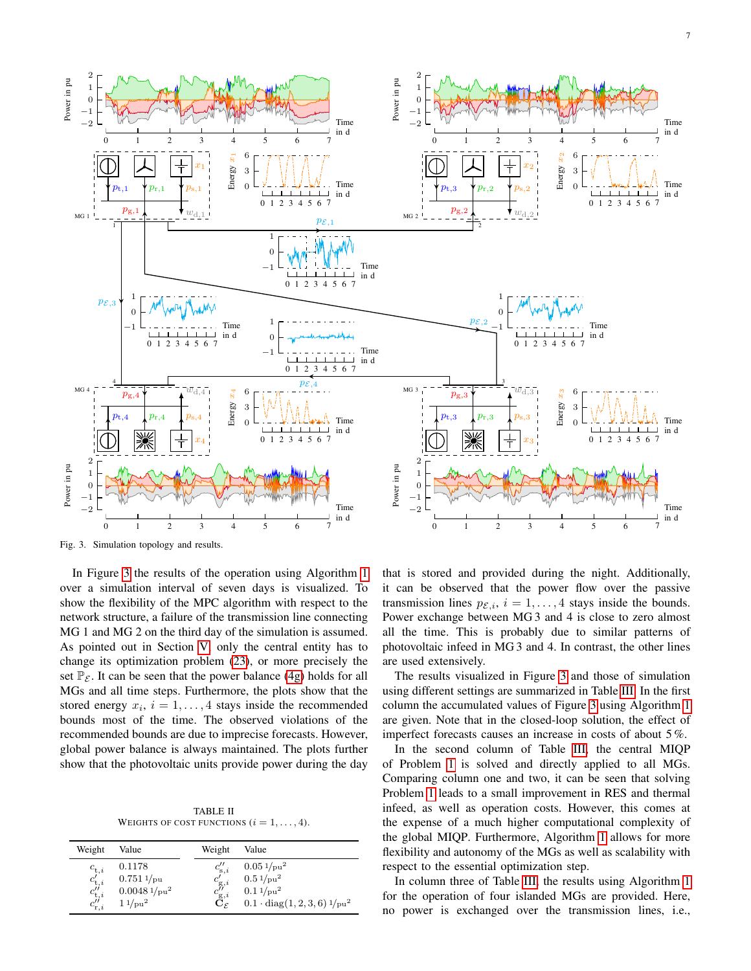

<span id="page-6-0"></span>Fig. 3. Simulation topology and results.

In Figure [3](#page-6-0) the results of the operation using Algorithm [1](#page-5-1) over a simulation interval of seven days is visualized. To show the flexibility of the MPC algorithm with respect to the network structure, a failure of the transmission line connecting MG 1 and MG 2 on the third day of the simulation is assumed. As pointed out in Section [V,](#page-3-1) only the central entity has to change its optimization problem [\(23\)](#page-4-9), or more precisely the set  $\mathbb{P}_{\mathcal{F}}$ . It can be seen that the power balance [\(4g\)](#page-2-1) holds for all MGs and all time steps. Furthermore, the plots show that the stored energy  $x_i$ ,  $i = 1, \ldots, 4$  stays inside the recommended bounds most of the time. The observed violations of the recommended bounds are due to imprecise forecasts. However, global power balance is always maintained. The plots further show that the photovoltaic units provide power during the day

TABLE II WEIGHTS OF COST FUNCTIONS  $(i = 1, \ldots, 4)$ .

<span id="page-6-1"></span>

| Weight                                                                                                       | Value                                                                            | Weight                                                                                                                         | Value                                                                                                                                   |
|--------------------------------------------------------------------------------------------------------------|----------------------------------------------------------------------------------|--------------------------------------------------------------------------------------------------------------------------------|-----------------------------------------------------------------------------------------------------------------------------------------|
| $c_{\mathrm{t},i}$<br>$\overset{c'_{\mathrm{t},i}}{c''_{\mathrm{t},i}}$<br>$c_{\mathrm{r},i}^{\prime\prime}$ | 0.1178<br>$0.751\frac{1}{p}$ u<br>$0.0048\sqrt[1]{p^2}$<br>$11$ /pu <sup>2</sup> | $c_{\mathrm{s},i}^{\scriptscriptstyle \cdot}$<br>$c'_{\mathrm{g},i}$<br>$\overset{c''_{\text{g},i}}{\mathbf{C}_{\mathcal{F}}}$ | $0.05\frac{1}{\text{pu}^2}$<br>$0.5\frac{1}{\mu}$ u <sup>2</sup><br>$0.1\frac{1}{\mu^2}$<br>$0.1 \cdot diag(1, 2, 3, 6) \frac{1}{pu^2}$ |

that is stored and provided during the night. Additionally, it can be observed that the power flow over the passive transmission lines  $p_{\mathcal{E},i}$ ,  $i = 1, \ldots, 4$  stays inside the bounds. Power exchange between MG 3 and 4 is close to zero almost all the time. This is probably due to similar patterns of photovoltaic infeed in MG 3 and 4. In contrast, the other lines are used extensively.

The results visualized in Figure [3](#page-6-0) and those of simulation using different settings are summarized in Table [III.](#page-7-30) In the first column the accumulated values of Figure [3](#page-6-0) using Algorithm [1](#page-5-1) are given. Note that in the closed-loop solution, the effect of imperfect forecasts causes an increase in costs of about 5 %.

In the second column of Table [III,](#page-7-30) the central MIQP of Problem [1](#page-4-0) is solved and directly applied to all MGs. Comparing column one and two, it can be seen that solving Problem [1](#page-4-0) leads to a small improvement in RES and thermal infeed, as well as operation costs. However, this comes at the expense of a much higher computational complexity of the global MIQP. Furthermore, Algorithm [1](#page-5-1) allows for more flexibility and autonomy of the MGs as well as scalability with respect to the essential optimization step.

In column three of Table [III,](#page-7-30) the results using Algorithm [1](#page-5-1) for the operation of four islanded MGs are provided. Here, no power is exchanged over the transmission lines, i.e.,